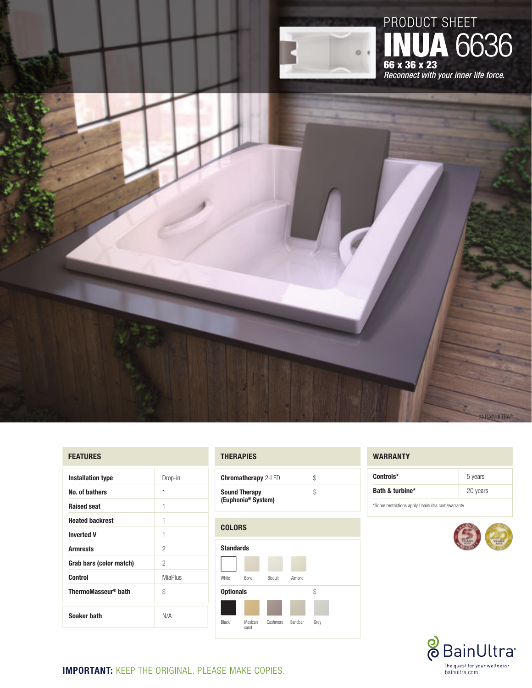

# product sheet **IUA 6636** 66 x 36 x 23 *Reconnect with your inner life force.*

# **FEATURES**

| <b>Installation type</b>        | Drop-in        |
|---------------------------------|----------------|
| No. of bathers                  | 1              |
| <b>Raised seat</b>              | 1              |
| <b>Heated backrest</b>          | 1              |
| <b>Inverted V</b>               | 1              |
| <b>Armrests</b>                 | 2              |
| Grab bars (color match)         | 2              |
| Control                         | <b>MiaPlus</b> |
| ThermoMasseur <sup>®</sup> bath | \$             |
| Soaker bath                     | N/A            |

## **thErapies**

| <b>Chromatherapy</b> 2-LED                             |  |
|--------------------------------------------------------|--|
| <b>Sound Therapy</b><br>(Euphonia <sup>®</sup> System) |  |



#### **WARRANTY**

| Controls*       | 5 years  |
|-----------------|----------|
| Bath & turbine* | 20 years |

\* Some restrictions apply | bainultra.com/warranty



**BAINULTR** 



**Important:** Keep the original. PLEASE MAKE copies.